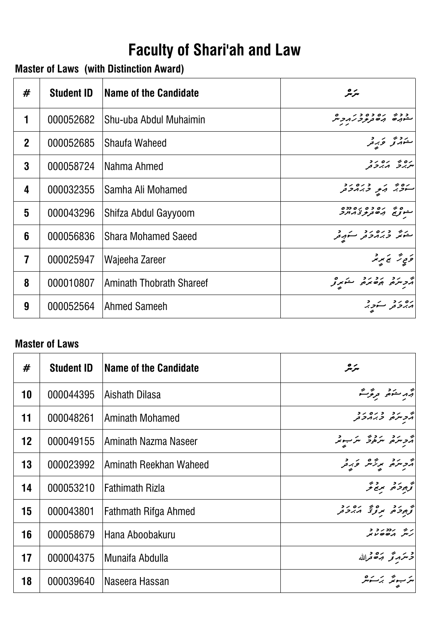# **Faculty of Shari'ah and Law**

# **Master of Laws (with Distinction Award)**

| #                       | <b>Student ID</b> | <b>Name of the Candidate</b>    | سرچر                                                       |
|-------------------------|-------------------|---------------------------------|------------------------------------------------------------|
| 1                       | 000052682         | Shu-uba Abdul Muhaimin          | رترفر نرمرو تتر                                            |
| $\overline{2}$          | 000052685         | Shaufa Waheed                   | ر دوم در د<br>س <i>ت</i> مبرتو څېړنو                       |
| 3                       | 000058724         | Nahma Ahmed                     | ים ז' ים יד<br>יי <i>תיו</i> ל <b>ה</b> ינדע               |
| 4                       | 000032355         | Samha Ali Mohamed               | ים מ' מ' כים יב<br><mark>יי</mark> ביל ה' <i>קיב</i> את בת |
| 5                       | 000043296         | Shifza Abdul Gayyoom            | و د ده ده ده ده ده<br>مشورج به دور در در در                |
| 6                       | 000056836         | <b>Shara Mohamed Saeed</b>      | مشر ورمود مستهد                                            |
| $\overline{\mathbf{7}}$ | 000025947         | Wajeeha Zareer                  | وَمِي تَرَ نَجْ بَر بْرٌ                                   |
| 8                       | 000010807         | <b>Aminath Thobrath Shareef</b> | أترج مرد برد به مؤثر و                                     |
| 9                       | 000052564         | Ahmed Sameeh                    |                                                            |

#### **Master of Laws**

| #  | <b>Student ID</b> | Name of the Candidate  | سرمر                                            |
|----|-------------------|------------------------|-------------------------------------------------|
| 10 | 000044395         | Aishath Dilasa         | ۾ مرڪھ <del>ترگرگ</del>                         |
| 11 | 000048261         | Aminath Mohamed        | پر در دره در<br>  پروسره <sub>ی</sub> و بر پروس |
| 12 | 000049155         | Aminath Nazma Naseer   | أثر مركز مركز مرسوبر                            |
| 13 | 000023992         | Aminath Reekhan Waheed | أأتر متزه وبرقر وبرقر                           |
| 14 | 000053210         | <b>Fathimath Rizla</b> | گرېږد د پرځ تر                                  |
| 15 | 000043801         | Fathmath Rifga Ahmed   | انو برد ده و بره برد د                          |
| 16 | 000058679         | Hana Aboobakuru        | ני נדונד ב<br>תית הסיסיו                        |
| 17 | 000004375         | Munaifa Abdulla        | ح سر مرتجر برقة قرالله                          |
| 18 | 000039640         | Naseera Hassan         |                                                 |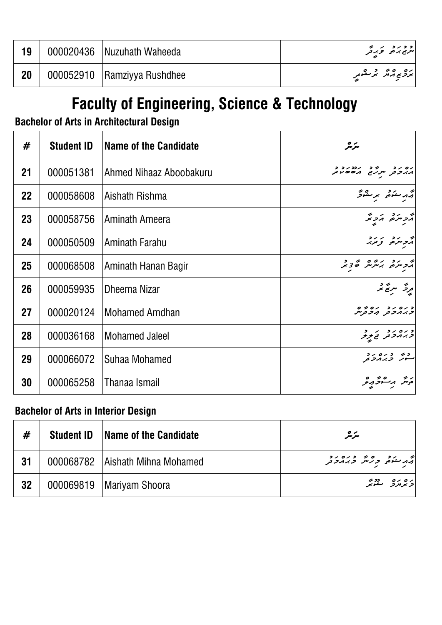| 19 | 000020436 Nuzuhath Waheeda  | د د ر د د کر د کر میتواند به اندازه برای در این به دست به داشته باشد به دست باشد به دست باشد باشد باشد باشد<br>  سریع برخواند کرد کرد |
|----|-----------------------------|---------------------------------------------------------------------------------------------------------------------------------------|
| 20 | 000052910 Ramziyya Rushdhee | برونج مرش بر مقوم ِ                                                                                                                   |

# **Faculty of Engineering, Science & Technology**

## **Bachelor of Arts in Architectural Design**

| #         | <b>Student ID</b> | Name of the Candidate   | سرمر                                            |
|-----------|-------------------|-------------------------|-------------------------------------------------|
| 21        | 000051381         | Ahmed Nihaaz Aboobakuru | ים ידי ידי ידי דר<br>גיבת יי <i>ני</i> א גםסטא  |
| <b>22</b> | 000058608         | Aishath Rishma          | أقهر متوفر برمقوش                               |
| 23        | 000058756         | Aminath Ameera          | ترديرة تزبر                                     |
| 24        | 000050509         | Aminath Farahu          | أأرد المردد                                     |
| 25        | 000068508         | Aminath Hanan Bagir     | بر در در بره در د                               |
| 26        | 000059935         | <b>Dheema Nizar</b>     | بر پر سر پر د<br>برگر سر بح سر                  |
| 27        | 000020124         | <b>Mohamed Amdhan</b>   | כ رہ رہ رہ رہ ہ<br><i>כ بر ہ</i> حر ہر ہے       |
| 28        | 000036168         | <b>Mohamed Jaleel</b>   | د ره ر د د<br><i>د ب</i> رمر <sub>تر تو</sub> ر |
| 29        | 000066072         | Suhaa Mohamed           |                                                 |
| 30        | 000065258         | Thanaa Ismail           |                                                 |

## **Bachelor of Arts in Interior Design**

| #   | <b>Student ID</b> | <b>Name of the Candidate</b>      | سرمر                         |
|-----|-------------------|-----------------------------------|------------------------------|
| -31 |                   | 000068782   Aishath Mihna Mohamed |                              |
| 32  |                   | 000069819   Mariyam Shoora        | ره ره دونو<br>د بر برد سمونو |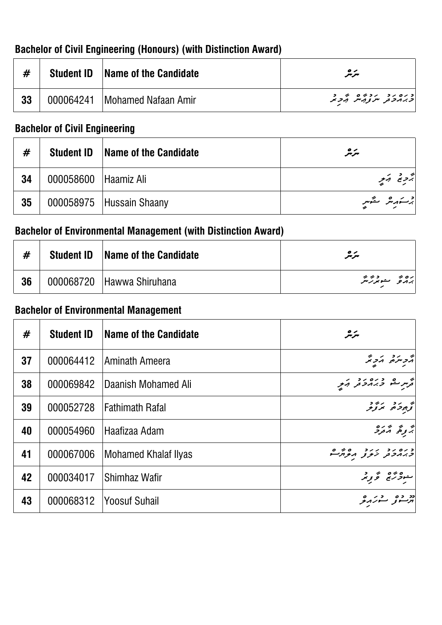| #  | <b>Student ID</b> | <b>Name of the Candidate</b>    | $\bullet\!\!\sim$<br>سرسر                                         |
|----|-------------------|---------------------------------|-------------------------------------------------------------------|
| 33 |                   | 000064241   Mohamed Nafaan Amir | כנסנד נבנים ני ב<br><i>בג</i> ונ <i>בת יינ</i> צו <i>מי ובב</i> ת |

## **Bachelor of Civil Engineering (Honours) (with Distinction Award)**

## **Bachelor of Civil Engineering**

| #  | <b>Student ID</b>    | <b>Name of the Candidate</b> | مترمر          |
|----|----------------------|------------------------------|----------------|
| 34 | 000058600 Haamiz Ali |                              | بروج أبرم      |
| 35 |                      | 000058975   Hussain Shaany   | برستهریش ستمبر |

## **Bachelor of Environmental Management (with Distinction Award)**

| #  | <b>Student ID</b> Name of the Candidate | $\bullet\!\!\sim$<br>سرسر |
|----|-----------------------------------------|---------------------------|
| 36 | 000068720 Hawwa Shiruhana               | رەپ سەدىبە                |

## **Bachelor of Environmental Management**

| #  | <b>Student ID</b> | Name of the Candidate  | سرچر                                               |
|----|-------------------|------------------------|----------------------------------------------------|
| 37 | 000064412         | Aminath Ameera         | أرد سره الأدائر                                    |
| 38 | 000069842         | Daanish Mohamed Ali    |                                                    |
| 39 | 000052728         | <b>Fathimath Rafal</b> | كوه دو دود                                         |
| 40 | 000054960         | Haafizaa Adam          | پر پر پر ده<br>بر <sub>قر</sub> می گرد <i>ر</i>    |
| 41 | 000067006         | Mohamed Khalaf Ilyas   | د ره رو اررد ده ورم<br><i>د برم</i> حتر نرموتر موش |
| 42 | 000034017         | Shimhaz Wafir          | ىموگرىن ئۇ بىر                                     |
| 43 | 000068312         | <b>Yoosuf Suhail</b>   |                                                    |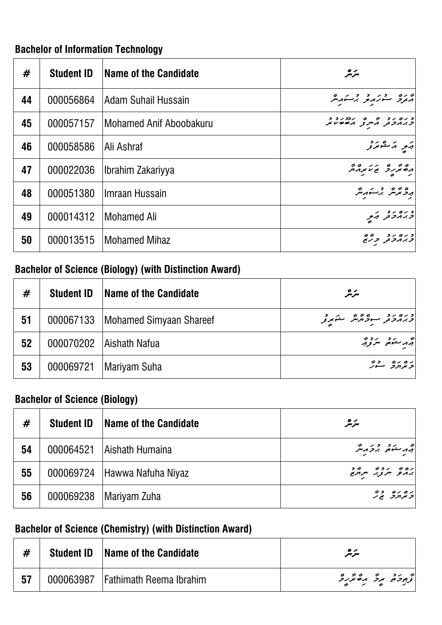## **Bachelor of Information Technology**

| #  | <b>Student ID</b> | Name of the Candidate   | سرمر                                       |
|----|-------------------|-------------------------|--------------------------------------------|
| 44 | 000056864         | Adam Suhail Hussain     | دره در در در به در                         |
| 45 | 000057157         | Mohamed Anif Aboobakuru | כנסנכ מיט מידיני ב<br>  כנמכת הייט מססטת   |
| 46 | 000058586         | Ali Ashraf              | أتهو ترتقونرو                              |
| 47 | 000022036         | Ibrahim Zakariyya       | חשתיכ זיאת הא                              |
| 48 | 000051380         | Ilmraan Hussain         | پروټر سر بر شور سر                         |
| 49 | 000014312         | <b>Mohamed Ali</b>      | د ره ر د د کر د کرد .<br>  د بر بر د کرد . |
| 50 | 000013515         | <b>Mohamed Mihaz</b>    | و ره رو دره<br>د برمرفر برگرم              |

## **Bachelor of Science (Biology) (with Distinction Award)**

| #  | <b>Student ID</b> | Name of the Candidate               | مترمر               |
|----|-------------------|-------------------------------------|---------------------|
| 51 |                   | 000067133   Mohamed Simyaan Shareef | وره دو سود کرد در د |
| 52 |                   | 000070202   Aishath Nafua           | أثهر ستوضح سروجر    |
| 53 | 000069721         | Mariyam Suha                        | ده ده در            |

## **Bachelor of Science (Biology)**

| #  | <b>Student ID</b> | Name of the Candidate          | مرمر                    |
|----|-------------------|--------------------------------|-------------------------|
| 54 | 000064521         | Aishath Humaina                | أقهر سنوه برذ أرمتر     |
| 55 |                   | 000069724   Hawwa Nafuha Niyaz | ره د محمد د مرکز مرکز د |
| 56 | 000069238         | Mariyam Zuha                   | 20 00 00 00             |

## **Bachelor of Science (Chemistry) (with Distinction Award)**

|  | <b>Student ID</b> Name of the Candidate | $\bullet\!\!\sim$<br>مىرىىر |
|--|-----------------------------------------|-----------------------------|
|  | 000063987   Fathimath Reema Ibrahim     |                             |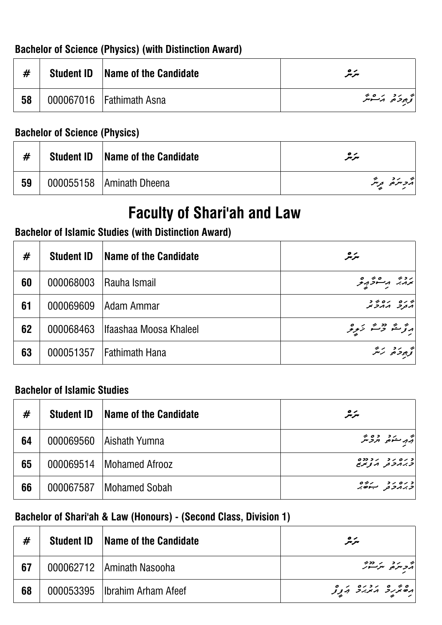## **Bachelor of Science (Physics) (with Distinction Award)**

| $\boldsymbol{\mathbf{\#}}$ | <b>Student ID</b> Name of the Candidate | $\bullet\!\!\sim$<br>سرسر |
|----------------------------|-----------------------------------------|---------------------------|
| 58                         | 000067016 Fathimath Asna                | تح برو بر ه پر            |

#### **Bachelor of Science (Physics)**

| #  | <b>Student ID</b> | <b>Name of the Candidate</b> | $\bullet\!\!\sim$<br>مىرىىر |
|----|-------------------|------------------------------|-----------------------------|
| 59 |                   | 000055158   Aminath Dheena   | أثرد متركز ويتر             |

# **Faculty of Shari'ah and Law**

## **Bachelor of Islamic Studies (with Distinction Award)**

| #  | <b>Student ID</b> | Name of the Candidate    | سرمر                                    |
|----|-------------------|--------------------------|-----------------------------------------|
| 60 | 000068003         | <b>Rauha Ismail</b>      | پرویز ویکشو کردید                       |
| 61 | 000069609         | <b>Adam Ammar</b>        | ה נם נסמר<br>הבקב ההכת                  |
| 62 | 000068463         | Ilfaashaa Moosa Khaleel  | ارتوستر ده بر در ه<br>در ترستر بر در در |
| 63 |                   | 000051357 Fathimath Hana | توجوخه ترتثر                            |

#### **Bachelor of Islamic Studies**

| #  | <b>Student ID</b> | Name of the Candidate      | سرمر                                          |
|----|-------------------|----------------------------|-----------------------------------------------|
| 64 |                   | 000069560   Aishath Yumna  | أقهر منكمي الرحاش                             |
| 65 |                   | 000069514   Mohamed Afrooz | د ره ر د ر د دده<br>  <i>ح بر ۱۰ د و بر</i> ی |
| 66 | 000067587         | Mohamed Sobah              | د ره د د به روه<br>  د بر مرد د برخه بر       |

### **Bachelor of Shari'ah & Law (Honours) - (Second Class, Division 1)**

| #  | <b>Student ID</b> | <b>Name of the Candidate</b>   | مترمگر                               |
|----|-------------------|--------------------------------|--------------------------------------|
| 67 |                   | 000062712   Aminath Nasooha    | انجر برد و بر دوند.<br>  هر د سر سور |
| 68 |                   | 000053395 Ilbrahim Arham Afeef |                                      |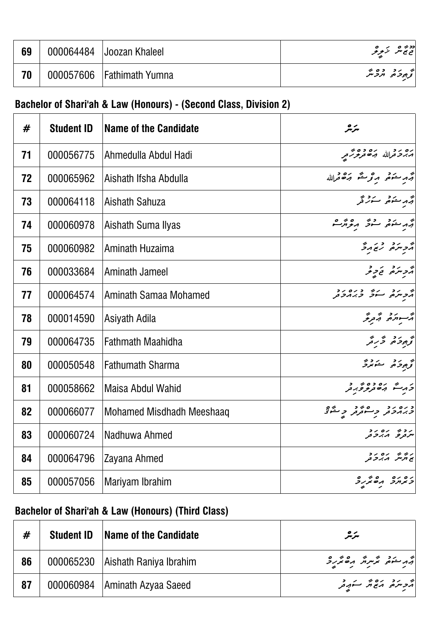| 69 | 000064484 Joozan Khaleel    | دد» ه بزیر و              |
|----|-----------------------------|---------------------------|
| 70 | 000057606   Fathimath Yumna | و ده ده و.<br>ترجوحر مرحس |

# **Bachelor of Shari'ah & Law (Honours) - (Second Class, Division 2)**

| #  | <b>Student ID</b> | <b>Name of the Candidate</b> | سرمر                                                  |
|----|-------------------|------------------------------|-------------------------------------------------------|
| 71 | 000056775         | Ahmedulla Abdul Hadi         | ره رو در ده وه بر<br><i>مدر د</i> ترالله من تربوتر تر |
| 72 | 000065962         | Aishath Ifsha Abdulla        | جُهرِ معَمَدٍ معَرِ محَدٍ جَمَعَهِ اللَّهُ            |
| 73 | 000064118         | Aishath Sahuza               |                                                       |
| 74 | 000060978         | Aishath Suma Ilyas           | جه منده ده مورم.<br>چه منده سرد مورم                  |
| 75 | 000060982         | Aminath Huzaima              | ה בינים גם הב                                         |
| 76 | 000033684         | Aminath Jameel               | جرجر من المحاجز المحر                                 |
| 77 | 000064574         | Aminath Samaa Mohamed        | מ הכנים בנסים<br>הכיתם ייחד בגהדת                     |
| 78 | 000014590         | Asiyath Adila                | تر سووری تر <sub>مری</sub><br>مرسورهی ترمری           |
| 79 | 000064735         | <b>Fathmath Maahidha</b>     | ۇ بەدە ئەر ئە                                         |
| 80 | 000050548         | <b>Fathumath Sharma</b>      | توجود حويدة                                           |
| 81 | 000058662         | Maisa Abdul Wahid            | ز در شه ده ده به د<br>د در شه د ه تربر ور             |
| 82 | 000066077         | Mohamed Misdhadh Meeshaaq    |                                                       |
| 83 | 000060724         | Nadhuwa Ahmed                | ر د د بره ر د<br>سردر و بربر حر                       |
| 84 | 000064796         | Zayana Ahmed                 | גוז ז' גם גב<br>ג'ונית הגבב                           |
| 85 | 000057056         | Mariyam Ibrahim              | ים ים הסתיק                                           |

# **Bachelor of Shari'ah & Law (Honours) (Third Class)**

| #  | <b>Student ID</b> | <b>Name of the Candidate</b>       | سرمر                    |
|----|-------------------|------------------------------------|-------------------------|
| 86 |                   | 000065230   Aishath Raniya Ibrahim | أقهر منوه محمد المستخدر |
| 87 |                   | 000060984   Aminath Azyaa Saeed    |                         |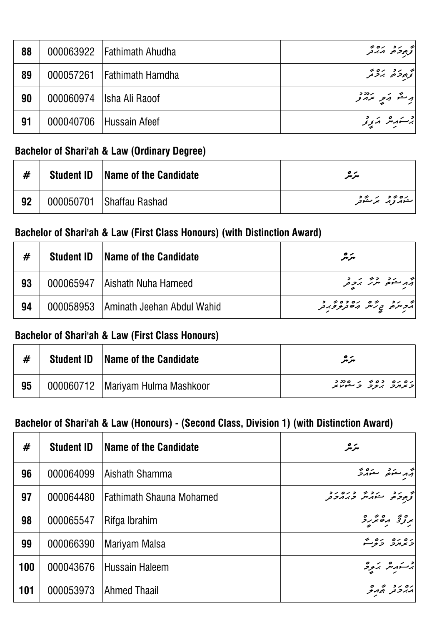| 88 | 000063922   Fathimath Ahudha | به رد ره به<br>گرجود مدبر          |
|----|------------------------------|------------------------------------|
| 89 | 000057261 Fathimath Hamdha   | و ده ده و.<br>گرجود پروتر          |
| 90 | 000060974   Isha Ali Raoof   | أوسقه وكبير بردود                  |
| 91 | 000040706 Hussain Afeef      | جر سەر شەر ئەر ئ <sub>ە</sub> ر ئە |

### **Bachelor of Shari'ah & Law (Ordinary Degree)**

| #  | <b>Student ID</b> | <b>Name of the Candidate</b> | سرمر        |
|----|-------------------|------------------------------|-------------|
| 92 |                   | 000050701 Shaffau Rashad     | پەەم تەرەپر |

#### **Bachelor of Shari'ah & Law (First Class Honours) (with Distinction Award)**

| #  | <b>Student ID</b> | <b>Name of the Candidate</b>           | مترمر                                                                                                                                                                                                                           |
|----|-------------------|----------------------------------------|---------------------------------------------------------------------------------------------------------------------------------------------------------------------------------------------------------------------------------|
| 93 |                   | 000065947   Aishath Nuha Hameed        | و مرکز در در در در در در این کار در در این کار در در این کار در در این کار در در این کار در این کار در این کار<br>مرکز در در این کار در در در این کار در در در در در در در در در در دادن کار در دادن کار در دادن کار در دیگر در |
| 94 |                   | 000058953   Aminath Jeehan Abdul Wahid | و دد و و ده ده ده د<br>مرس و د شر مان د و در د                                                                                                                                                                                  |

#### **Bachelor of Shari'ah & Law (First Class Honours)**

|    | <b>Student ID</b> | <b>Name of the Candidate</b>       | $\bullet\!\!\sim$<br>سرسر                                      |
|----|-------------------|------------------------------------|----------------------------------------------------------------|
| 95 |                   | 000060712   Mariyam Hulma Mashkoor | גם גם כם 4 גם מכב<br><i>כאחר ג<del>נ</del>ר</i> כ <sup>ל</sup> |

## **Bachelor of Shari'ah & Law (Honours) - (Second Class, Division 1) (with Distinction Award)**

| #   | <b>Student ID</b> | Name of the Candidate           | سرچر                                         |
|-----|-------------------|---------------------------------|----------------------------------------------|
| 96  | 000064099         | Aishath Shamma                  | أَبَرْمَ مَشْهُمْ مَسْتَوَمَرَّةً            |
| 97  | 000064480         | <b>Fathimath Shauna Mohamed</b> | انو ده دره دره ده.<br>انوجودهی مشهر در در در |
| 98  | 000065547         | Rifga Ibrahim                   | پروتخ مقدر د                                 |
| 99  | 000066390         | Mariyam Malsa                   | ده ده ده م                                   |
| 100 | 000043676         | Hussain Haleem                  | برستهبش بزبرو                                |
| 101 | 000053973         | Ahmed Thaail                    | ره ر د په ره<br>  پرېر تو پورنځ              |